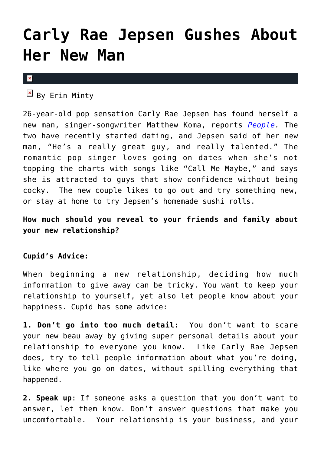## **[Carly Rae Jepsen Gushes About](https://cupidspulse.com/37315/carly-rae-jepsen-new-man-matthew-koma/) [Her New Man](https://cupidspulse.com/37315/carly-rae-jepsen-new-man-matthew-koma/)**

 $\mathbf{x}$ 

 $\boxed{\times}$  By Erin Minty

26-year-old pop sensation Carly Rae Jepsen has found herself a new man, singer-songwriter Matthew Koma, reports *[People](http://www.people.com/people/article/0,,20624426,00.html).* The two have recently started dating, and Jepsen said of her new man, "He's a really great guy, and really talented." The romantic pop singer loves going on dates when she's not topping the charts with songs like "Call Me Maybe," and says she is attracted to guys that show confidence without being cocky. The new couple likes to go out and try something new, or stay at home to try Jepsen's homemade sushi rolls.

**How much should you reveal to your friends and family about your new relationship?**

## **Cupid's Advice:**

When beginning a new relationship, deciding how much information to give away can be tricky. You want to keep your relationship to yourself, yet also let people know about your happiness. Cupid has some advice:

**1. Don't go into too much detail:** You don't want to scare your new beau away by giving super personal details about your relationship to everyone you know. Like Carly Rae Jepsen does, try to tell people information about what you're doing, like where you go on dates, without spilling everything that happened.

**2. Speak up**: If someone asks a question that you don't want to answer, let them know. Don't answer questions that make you uncomfortable. Your relationship is your business, and your